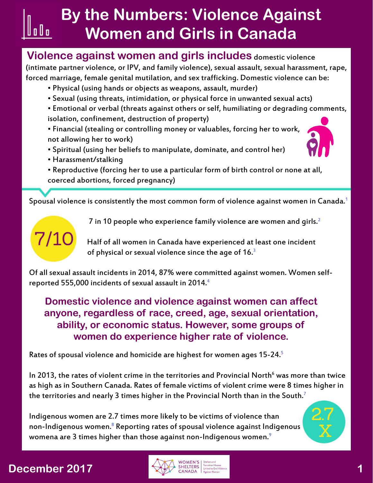#### **Violence against women and girls includes domestic violence**

(intimate partner violence, or IPV, and family violence), sexual assault, sexual harassment, rape, forced marriage, female genital mutilation, and sex trafficking. Domestic violence can be:

- Physical (using hands or objects as weapons, assault, murder)
- Sexual (using threats, intimidation, or physical force in unwanted sexual acts)

• Emotional or verbal (threats against others or self, humiliating or degrading comments, isolation, confinement, destruction of property)

- Financial (stealing or controlling money or valuables, forcing her to work, not allowing her to work)
- Spiritual (using her beliefs to manipulate, dominate, and control her)



- Harassment/stalking
- Reproductive (forcing her to use a particular form of birth control or none at all, coerced abortions, forced pregnancy)

Spousal violence is consistently the most common form of violence against women in Canada.<sup>1</sup>



|| o || o

7 in 10 people who experience family violence are women and girls.<sup>2</sup>

 $7/10$  Half of all women in Canada have experienced at least one incident of physical or sexual violence since the age of 16.<sup>[3](http://www23.statcan.gc.ca/imdb/p2SV.pl?Function=getSurvey&SDDS=3896&Item_Id=1712)</sup>

Of all sexual assault incidents in 2014, 87% were committed against women. Women selfreported 555,000 incidents of sexual assault in 2014.<sup>4</sup>

**Domestic violence and violence against women can affect anyone, regardless of race, creed, age, sexual orientation, ability, or economic status. However, some groups of women do experience higher rate of violence.**

Rates of spousal violence and homicide are highest for women ages 15-24[.5](https://www.statcan.gc.ca/pub/85-002-x/2013001/article/11805/11805-3-eng.htm)

In 2013, the rates of violent crime in the territories and Provincial North $^6$  was more than twice as high as in Southern Canada. Rates of female victims of violent crime were 8 times higher in the territories and nearly 3 times higher in the Provincial North than in the South.<sup>[7](http://www.statcan.gc.ca/pub/85-002-x/2015001/article/14165-eng.htm)</sup>

Indigenous women are 2.7 times more likely to be victims of violence than non-Indigenous women.<sup>8</sup> Reporting rates of spousal violence against Indigenous womena are 3 times higher than those against non-Indigenous women.<sup>[9](http://www5.statcan.gc.ca/olc-cel/olc.action?ObjId=85-002-X201600114631&ObjType=47&lang=en&limit=0)</sup>

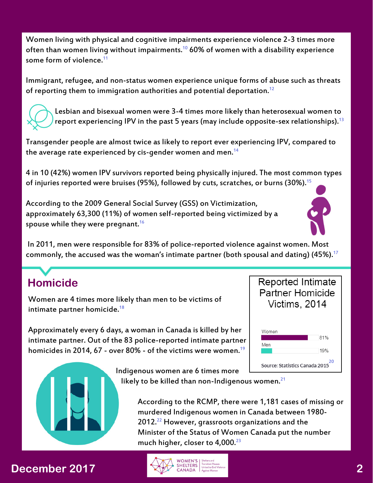Women living with physical and cognitive impairments experience violence 2-3 times more often than women living without impairments.<sup>10</sup> 60% of women with a disability experience some form of violence.<sup>11</sup>

Immigrant, refugee, and non-status women experience unique forms of abuse such as threats of reporting them to immigration authorities and potential deportation.<sup>12</sup>



 Lesbian and bisexual women were 3-4 times more likely than heterosexual women to report experiencing IPV in the past 5 years (may include opposite-sex relationships).  $13$ 

Transgender people are almost twice as likely to report ever experiencing IPV, compared to the average rate experienced by cis-gender women and men.<sup>14</sup>

4 in 10 (42%) women IPV survivors reported being physically injured. The most common types of injuries reported were bruises (95%), followed by cuts, scratches, or burns (30%).<sup>15</sup>

According to the 2009 General Social Survey (GSS) on Victimization, approximately 63,300 (11%) of women self-reported being victimized by a spouse while they were pregnant.<sup>[16](https://www.statcan.gc.ca/pub/85-002-x/2013001/article/11805/11805-3-eng.htm)</sup>



 In 2011, men were responsible for 83% of police-reported violence against women. Most commonly, the accused was the woman's intimate partner (both spousal and dating)  $(45\%)$ .<sup>17</sup>

# **Homicide**

Women are 4 times more likely than men to be victims of intimate partner homicide.<sup>[18](http://www.statcan.gc.ca/pub/85-002-x/2015001/article/14244-eng.htm#a9)</sup>

Approximately every 6 days, a woman in Canada is killed by her intimate partner. Out of the 83 police-reported intimate partner homicides in 2014, 67 - over 80% - of the victims were women.<sup>19</sup>



Indigenous women are 6 times more

likely to be killed than non-Indigenous women. $21$ 

 According to the RCMP, there were 1,181 cases of missing or murdered Indigenous women in Canada between 1980-  $2012.<sup>22</sup>$  However, grassroots organizations and the Minister of the Status of Women Canada put the number much higher, closer to  $4,000.^{23}$  $4,000.^{23}$  $4,000.^{23}$ 

### **December 2017**

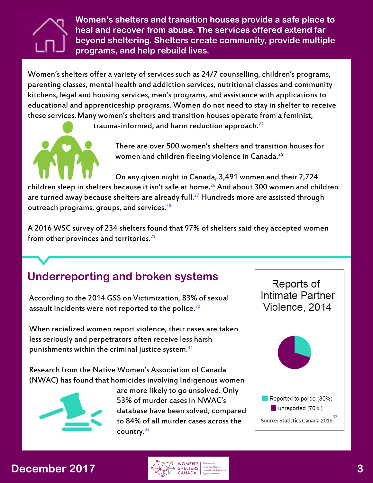

**Women's shelters and transition houses provide a safe place to heal and recover from abuse. The services offered extend far beyond sheltering. Shelters create community, provide multiple programs, and help rebuild lives.**

Women's shelters offer a variety of services such as 24/7 counselling, children's programs, parenting classes, mental health and addiction services, nutritional classes and community kitchens, legal and housing services, men's programs, and assistance with applications to educational and apprenticeship programs. Women do not need to stay in shelter to receive these services.Many women's shelters and transition houses operate from a feminist,

trauma-informed, and harm reduction approach.<sup>[24](http://endvaw.ca/shelters-refuge-violence/ )</sup>



 There are over 500 women's shelters and transition houses for women and children fleeing violence in Canada.<sup>25</sup>

 On any given night in Canada, 3,491 women and their 2,724 children sleep in shelters because it isn't safe at home.<sup>26</sup> And about 300 women and children are turned away because shelters are already full. $^{27}$  $^{27}$  $^{27}$  Hundreds more are assisted through outreach programs, groups, and services.<sup>[2](http://endvaw.ca/our-work/shelter-voices-2016/ )8</sup>

A 2016 WSC survey of 234 shelters found that 97% of shelters said they accepted women from other provinces and territories.<sup>29</sup>

# **Underreporting and broken systems**

According to the 2014 GSS on Victimization, 83% of sexual assault incidents were not reported to the police.<sup>[30](https://www.statcan.gc.ca/pub/85-002-x/2017001/article/14842-eng.htm)</sup>

When racialized women report violence, their cases are taken less seriously and perpetrators often receive less harsh punishments within the criminal justice system. $31$ 

Research from the Native Women's Association of Canada (NWAC) has found that homicides involving Indigenous women



 are more likely to go unsolved. Only 53% of murder cases in NWAC's database have been solved, compared to 84% of all murder cases across the country.<sup>32</sup>



### **December 2017**

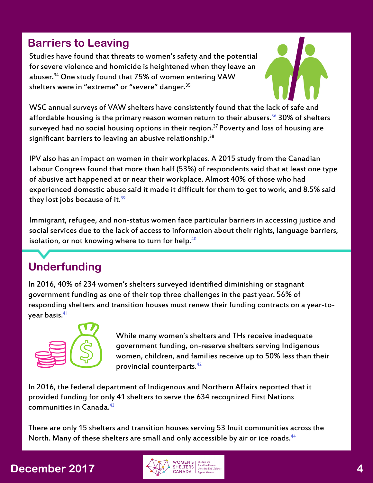### **Barriers to Leaving**

Studies have found that threats to women's safety and the potential for severe violence and homicide is heightened when they leave an abuser.<sup>34</sup> One study found that 75% of women entering VAW shelters were in "extreme" or "severe" danger.<sup>35</sup>



WSC annual surveys of VAW shelters have consistently found that the lack of safe and affordable housing is the primary reason women return to their abusers.<sup>36</sup> 30% of shelters surveyed had no social housing options in their region.<sup>37</sup> Poverty and loss of housing are significant barriers to leaving an abusive relationship.<sup>38</sup>

IPV also has an impact on women in their workplaces. A 2015 study from the Canadian Labour Congress found that more than half (53%) of respondents said that at least one type of abusive act happened at or near their workplace. Almost 40% of those who had experienced domestic abuse said it made it difficult for them to get to work, and 8.5% said they lost jobs because of it. $39$ 

Immigrant, refugee, and non-status women face particular barriers in accessing justice and social services due to the lack of access to information about their rights, language barriers, isolation, or not knowing where to turn for help. $40$ 

# **Underfunding**

In 2016, 40% of 234 women's shelters surveyed identified diminishing or stagnant government funding as one of their top three challenges in the past year. 56% of responding shelters and transition houses must renew their funding contracts on a year-toyear basis.<sup>41</sup>



 While many women's shelters and THs receive inadequate government funding, on-reserve shelters serving Indigenous women, children, and families receive up to 50% less than their provincial counterparts.[4](https://acws.ca/sites/default/files/documents/AlbertaOnReserveSheltersFinalReport2011NovemberCS.pdf)2

In 2016, the federal department of Indigenous and Northern Affairs reported that it provided funding for only 41 shelters to serve the 634 recognized First Nations communities in Canada.<sup>[4](https://www.amnesty.ca/get-involved/take-action-now/canada-close-funding-gap-ensure-safety-and-support-indigenous-women-and)3</sup>

There are only 15 shelters and transition houses serving 53 Inuit communities across the North. Many of these shelters are small and only accessible by air or ice roads.<sup>44</sup>

### **December 2017**

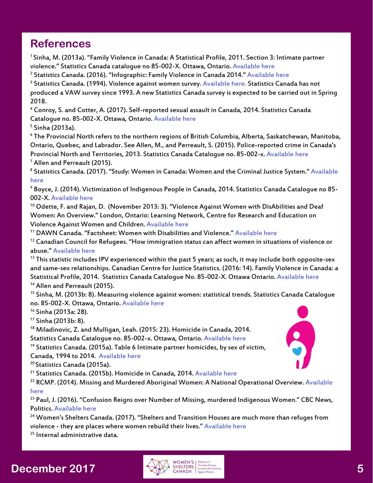#### **References**

1 Sinha, M. (2013a). "Family Violence in Canada: A Statistical Profile, 2011. Section 3: Intimate partner violence." Statistics Canada catalogue no 85-002-X. Ottawa, Ontario. [Available here](https://www.statcan.gc.ca/pub/85-002-x/2013001/article/11805/11805-3-eng.htm)

<sup>2</sup> Statistics Canada. (2016). "Infographic: Family Violence in Canada 2014." <u>Available here</u>

<sup>3</sup> Statistics Canada. (1994). Violence against women survey. <u>Available here</u>. Statistics Canada has not produced a VAW survey since 1993. A new Statistics Canada survey is expected to be carried out in Spring 2018.

4 Conroy, S. and Cotter, A. (2017). Self-reported sexual assault in Canada, 2014. Statistics Canada Catalogue no. 85-002-X. Ottawa, Ontario. [Available here](https://www.statcan.gc.ca/pub/85-002-x/2017001/article/14842-eng.htm)

<sup>5</sup> Sinha (2013a).

 $^{\rm 6}$  The Provincial North refers to the northern regions of British Columbia, Alberta, Saskatchewan, Manitoba, Ontario, Quebec, and Labrador. See Allen, M., and Perreault, S. (2015). Police-reported crime in Canada's Provincial North and Territories, 2013. Statistics Canada Catalogue no. 85-002-x. [Available here](http://www.statcan.gc.ca/pub/85-002-x/2015001/article/14165-eng.htm) 7 Allen and Perreault (2015).

<sup>8</sup> Statistics Canada. (2017). "Study: Women in Canada: Women and the Criminal Justice System." Available [here](http://www.statcan.gc.ca/daily-quotidien/170606/dq170606a-eng.htm?CMP=mstatcan)

9 Boyce, J. (2014). Victimization of Indigenous People in Canada, 2014. Statistics Canada Catalogue no 85- 002-X. [Available here](http://www5.statcan.gc.ca/olc-cel/olc.action?ObjId=85-002-X201600114631&ObjType=47&lang=en&limit=0)

 $10$  Odette, F. and Rajan, D. (November 2013: 3). "Violence Against Women with DisAbilities and Deaf Women: An Overview." London, Ontario: Learning Network, Centre for Research and Education on Violence Against Women and Children. [Available here](http://www.dawncanada.net/?attachment_id=867)

11 DAWN Canada. "Factsheet: Women with Disabilities and Violence." [Available here](http://www.dawncanada.net/?attachment_id=995)

 $12$  Canadian Council for Refugees. "How immigration status can affect women in situations of violence or abuse." [Available here](http://ccrweb.ca/en/how-immigration-status-can-affect-women-situations-violence )

<sup>13</sup> This statistic includes IPV experienced within the past 5 years; as such, it may include both opposite-sex and same-sex relationships. Canadian Centre for Justice Statistics. (2016: 14). Family Violence in Canada: a Statistical Profile, 2014. Statistics Canada Catalogue No. 85-002-X. Ottawa Ontario. [Available here](http://www.statcan.gc.ca/pub/85-002-x/2016001/article/14303-eng.pdf) <sup>14</sup> Allen and Perreault (2015).

<sup>15</sup> Sinha, M. (2013b: 8). Measuring violence against women: statistical trends. Statistics Canada Catalogue no. 85-002-X. Ottawa, Ontario. [Available here](http://www.statcan.gc.ca/pub/85-002-x/2013001/article/11766-eng.pdf)

16 Sinha (2013a: 28).

17 Sinha (2013b: 8).

<sup>18</sup> Miladinovic, Z. and Mulligan, Leah. (2015: 23). Homicide in Canada, 2014.

Statistics Canada Catalogue no. 85-002-x. Ottawa, Ontario. [Available here](http://www.statcan.gc.ca/pub/85-002-x/2015001/article/14244-eng.htm#a9)

<sup>19</sup> Statistics Canada. (2015a). Table 6 Intimate partner homicides, by sex of victim, Canada, 1994 to 2014. [Available here](http://www.statcan.gc.ca/pub/85-002-x/2015001/article/14244/tbl/tbl06-eng.htm)

<sup>20</sup> Statistics Canada (2015a).

<sup>21</sup> Statistics Canada. (2015b). Homicide in Canada, 2014. [Available here](http://www.statcan.gc.ca/daily-quotidien/151125/dq151125a-eng.htm)

<sup>22</sup> RCMP. (2014). Missing and Murdered Aboriginal Women: A National Operational Overview. Available [here](http://www.rcmp-grc.gc.ca/en/missing-and-murdered-aboriginal-women-national-operational-overview )

<sup>23</sup> Paul, J. (2016). "Confusion Reigns over Number of Missing, murdered Indigenous Women." CBC News, Politics. [Available here](http://www.cbc.ca/news/politics/mmiw-4000-hajdu-1.3450237)

<sup>24</sup> Women's Shelters Canada. (2017). "Shelters and Transition Houses are much more than refuges from violence - they are places where women rebuild their lives." [Available here](http://endvaw.ca/shelters-refuge-violence/ )

 $25$  Internal administrative data.